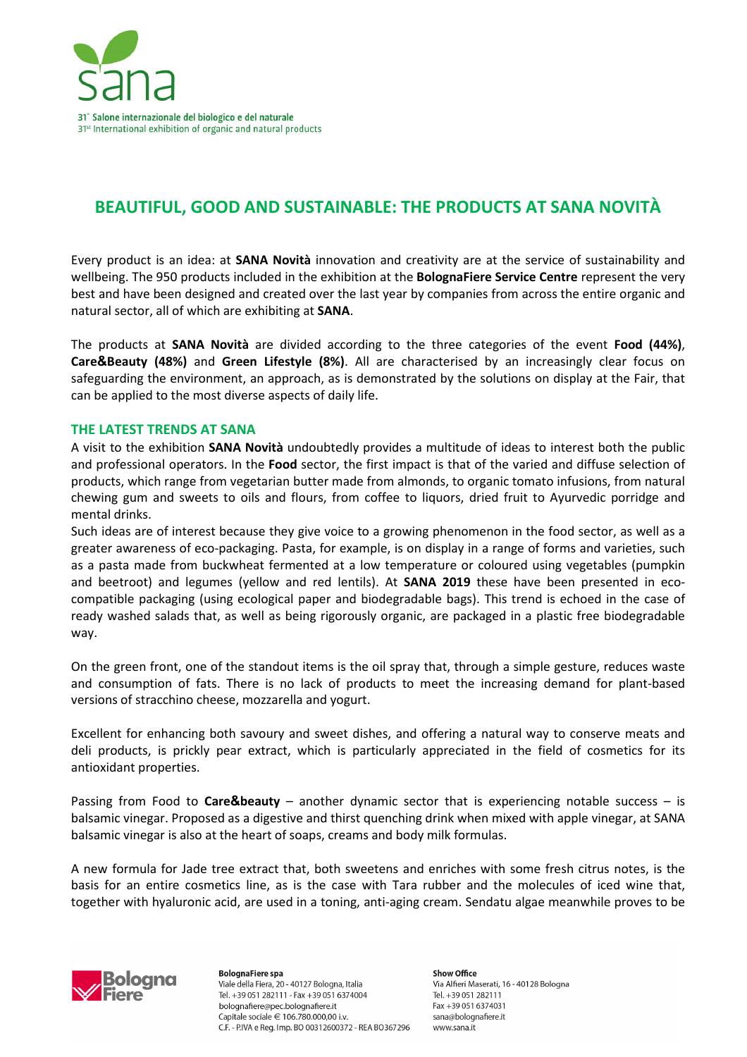

## **BEAUTIFUL, GOOD AND SUSTAINABLE: THE PRODUCTS AT SANA NOVITÀ**

Every product is an idea: at **SANA Novità** innovation and creativity are at the service of sustainability and wellbeing. The 950 products included in the exhibition at the **BolognaFiere Service Centre** represent the very best and have been designed and created over the last year by companies from across the entire organic and natural sector, all of which are exhibiting at **SANA**.

The products at **SANA Novità** are divided according to the three categories of the event **Food (44%)**, **Care&Beauty (48%)** and **Green Lifestyle (8%)**. All are characterised by an increasingly clear focus on safeguarding the environment, an approach, as is demonstrated by the solutions on display at the Fair, that can be applied to the most diverse aspects of daily life.

## **THE LATEST TRENDS AT SANA**

A visit to the exhibition **SANA Novità** undoubtedly provides a multitude of ideas to interest both the public and professional operators. In the **Food** sector, the first impact is that of the varied and diffuse selection of products, which range from vegetarian butter made from almonds, to organic tomato infusions, from natural chewing gum and sweets to oils and flours, from coffee to liquors, dried fruit to Ayurvedic porridge and mental drinks.

Such ideas are of interest because they give voice to a growing phenomenon in the food sector, as well as a greater awareness of eco-packaging. Pasta, for example, is on display in a range of forms and varieties, such as a pasta made from buckwheat fermented at a low temperature or coloured using vegetables (pumpkin and beetroot) and legumes (yellow and red lentils). At **SANA 2019** these have been presented in ecocompatible packaging (using ecological paper and biodegradable bags). This trend is echoed in the case of ready washed salads that, as well as being rigorously organic, are packaged in a plastic free biodegradable way.

On the green front, one of the standout items is the oil spray that, through a simple gesture, reduces waste and consumption of fats. There is no lack of products to meet the increasing demand for plant-based versions of stracchino cheese, mozzarella and yogurt.

Excellent for enhancing both savoury and sweet dishes, and offering a natural way to conserve meats and deli products, is prickly pear extract, which is particularly appreciated in the field of cosmetics for its antioxidant properties.

Passing from Food to **Care&beauty** – another dynamic sector that is experiencing notable success – is balsamic vinegar. Proposed as a digestive and thirst quenching drink when mixed with apple vinegar, at SANA balsamic vinegar is also at the heart of soaps, creams and body milk formulas.

A new formula for Jade tree extract that, both sweetens and enriches with some fresh citrus notes, is the basis for an entire cosmetics line, as is the case with Tara rubber and the molecules of iced wine that, together with hyaluronic acid, are used in a toning, anti-aging cream. Sendatu algae meanwhile proves to be



**BolognaFiere** spa Viale della Fiera, 20 - 40127 Bologna, Italia Tel. +39 051 282111 - Fax +39 051 6374004 bolognafiere@pec.bolognafiere.it Capitale sociale € 106.780.000,00 i.v. C.F. - P.IVA e Reg. Imp. BO 00312600372 - REA BO367296

**Show Office** Via Alfieri Maserati, 16 - 40128 Bologna Tel. +39 051 282111 Fax +39 051 6374031 sana@bolognafiere.it www.sana.it